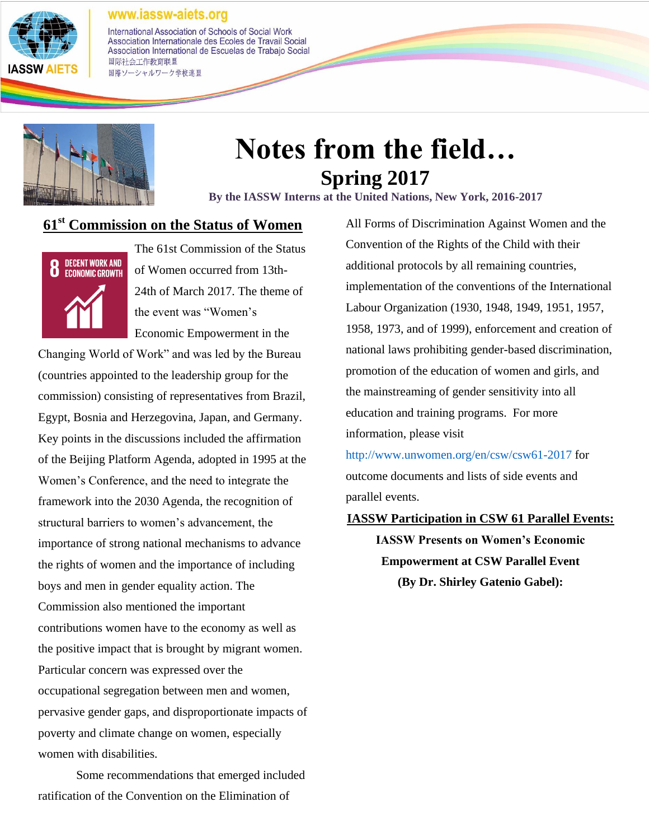

International Association of Schools of Social Work Association Internationale des Ecoles de Travail Social Association International de Escuelas de Trabajo Social 国际社会工作教育联盟 国際ソーシャルワーク学校連盟



# **Notes from the field… Spring 2017**

**By the IASSW Interns at the United Nations, New York, 2016-2017**

### **61st Commission on the Status of Women**



The 61st Commission of the Status of Women occurred from 13th-24th of March 2017. The theme of the event was "Women's Economic Empowerment in the

Changing World of Work" and was led by the Bureau (countries appointed to the leadership group for the commission) consisting of representatives from Brazil, Egypt, Bosnia and Herzegovina, Japan, and Germany. Key points in the discussions included the affirmation of the Beijing Platform Agenda, adopted in 1995 at the Women's Conference, and the need to integrate the framework into the 2030 Agenda, the recognition of structural barriers to women's advancement, the importance of strong national mechanisms to advance the rights of women and the importance of including boys and men in gender equality action. The Commission also mentioned the important contributions women have to the economy as well as the positive impact that is brought by migrant women. Particular concern was expressed over the occupational segregation between men and women, pervasive gender gaps, and disproportionate impacts of poverty and climate change on women, especially women with disabilities.

Some recommendations that emerged included ratification of the Convention on the Elimination of

All Forms of Discrimination Against Women and the Convention of the Rights of the Child with their additional protocols by all remaining countries, implementation of the conventions of the International Labour Organization (1930, 1948, 1949, 1951, 1957, 1958, 1973, and of 1999), enforcement and creation of national laws prohibiting gender-based discrimination, promotion of the education of women and girls, and the mainstreaming of gender sensitivity into all education and training programs. For more information, please visit

<http://www.unwomen.org/en/csw/csw61-2017> for outcome documents and lists of side events and parallel events.

### **IASSW Participation in CSW 61 Parallel Events:**

**IASSW Presents on Women's Economic Empowerment at CSW Parallel Event (By Dr. Shirley Gatenio Gabel):**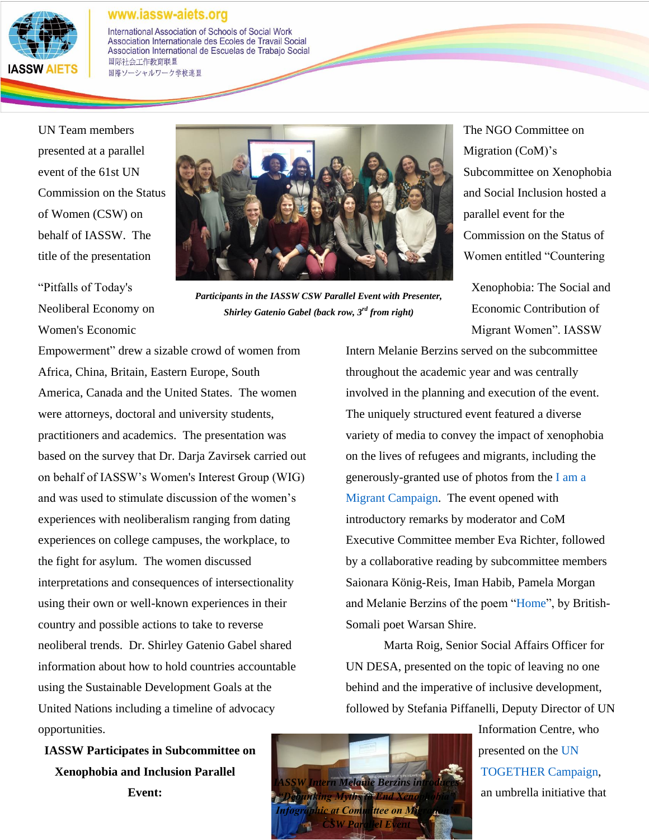

International Association of Schools of Social Work Association Internationale des Ecoles de Travail Social Association International de Escuelas de Trabajo Social 国际社会工作教育联盟 国際ソーシャルワーク学校連盟

UN Team members presented at a parallel event of the 61st UN Commission on the Status of Women (CSW) on behalf of IASSW. The title of the presentation

"Pitfalls of Today's Neoliberal Economy on Women's Economic



*Participants in the IASSW CSW Parallel Event with Presenter, Shirley Gatenio Gabel (back row, 3rd from right)*

The NGO Committee on Migration (CoM)'s Subcommittee on Xenophobia and Social Inclusion hosted a parallel event for the Commission on the Status of Women entitled "Countering

Xenophobia: The Social and Economic Contribution of Migrant Women". IASSW

Empowerment" drew a sizable crowd of women from Africa, China, Britain, Eastern Europe, South America, Canada and the United States. The women were attorneys, doctoral and university students, practitioners and academics. The presentation was based on the survey that Dr. Darja Zavirsek carried out on behalf of IASSW's Women's Interest Group (WIG) and was used to stimulate discussion of the women's experiences with neoliberalism ranging from dating experiences on college campuses, the workplace, to the fight for asylum. The women discussed interpretations and consequences of intersectionality using their own or well-known experiences in their country and possible actions to take to reverse neoliberal trends. Dr. Shirley Gatenio Gabel shared information about how to hold countries accountable using the Sustainable Development Goals at the United Nations including a timeline of advocacy opportunities.

**IASSW Participates in Subcommittee on Xenophobia and Inclusion Parallel Event:**

Intern Melanie Berzins served on the subcommittee throughout the academic year and was centrally involved in the planning and execution of the event. The uniquely structured event featured a diverse variety of media to convey the impact of xenophobia on the lives of refugees and migrants, including the generously-granted use of photos from th[e](http://iamamigrant.org/) [I am a](http://iamamigrant.org/)  [Migrant Campaign.](http://iamamigrant.org/) The event opened with introductory remarks by moderator and CoM Executive Committee member Eva Richter, followed by a collaborative reading by subcommittee members Saionara König-Reis, Iman Habib, Pamela Morgan and Melanie Berzins of the poem ["Home"](https://www.umcnic.org/wp-content/uploads/2015/06/Home-Poem-by-Warsan-Shire.pdf), by British-Somali poet Warsan Shire.

Marta Roig, Senior Social Affairs Officer for UN DESA, presented on the topic of leaving no one behind and the imperative of inclusive development, followed by Stefania Piffanelli, Deputy Director of UN

> Information Centre, who presented on th[e](https://together.un.org/) [UN](https://together.un.org/)  [TOGETHER Campaign,](https://together.un.org/) an umbrella initiative that

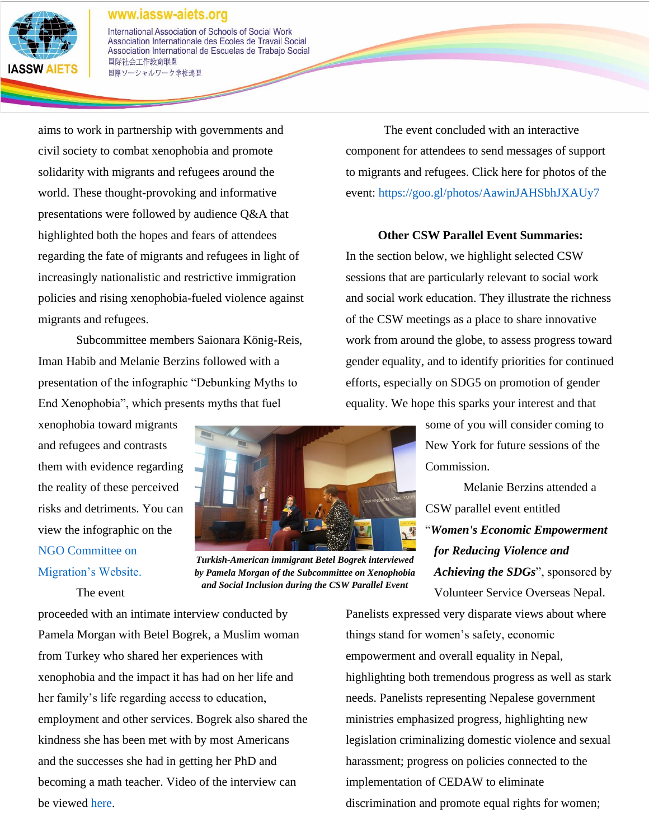

International Association of Schools of Social Work Association Internationale des Ecoles de Travail Social Association International de Escuelas de Trabajo Social 国际社会工作教育联盟 国際ソーシャルワーク学校連盟

aims to work in partnership with governments and civil society to combat xenophobia and promote solidarity with migrants and refugees around the world. These thought-provoking and informative presentations were followed by audience Q&A that highlighted both the hopes and fears of attendees regarding the fate of migrants and refugees in light of increasingly nationalistic and restrictive immigration policies and rising xenophobia-fueled violence against migrants and refugees.

Subcommittee members Saionara König-Reis, Iman Habib and Melanie Berzins followed with a presentation of the infographic "Debunking Myths to End Xenophobia", which presents myths that fuel

xenophobia toward migrants and refugees and contrasts them with evidence regarding the reality of these perceived risks and detriments. You can view the infographic on the [NGO Committee on](https://ngo-migration.org/task-force/campaign-against-xenophobia-and-for-social-integration/)  [Migration's Website.](https://ngo-migration.org/task-force/campaign-against-xenophobia-and-for-social-integration/)

The event



*Turkish-American immigrant Betel Bogrek interviewed by Pamela Morgan of the Subcommittee on Xenophobia and Social Inclusion during the CSW Parallel Event*

The event concluded with an interactive component for attendees to send messages of support to migrants and refugees. Click here for photos of the event:<https://goo.gl/photos/AawinJAHSbhJXAUy7>

### **Other CSW Parallel Event Summaries:**

In the section below, we highlight selected CSW sessions that are particularly relevant to social work and social work education. They illustrate the richness of the CSW meetings as a place to share innovative work from around the globe, to assess progress toward gender equality, and to identify priorities for continued efforts, especially on SDG5 on promotion of gender equality. We hope this sparks your interest and that

> some of you will consider coming to New York for future sessions of the Commission.

Melanie Berzins attended a CSW parallel event entitled "*Women's Economic Empowerment for Reducing Violence and Achieving the SDGs*", sponsored by Volunteer Service Overseas Nepal.

proceeded with an intimate interview conducted by Pamela Morgan with Betel Bogrek, a Muslim woman from Turkey who shared her experiences with xenophobia and the impact it has had on her life and her family's life regarding access to education, employment and other services. Bogrek also shared the kindness she has been met with by most Americans and the successes she had in getting her PhD and becoming a math teacher. Video of the interview can be viewed [here.](https://photos.google.com/share/AF1QipNNmU4YzStpyAbgUpdUeaHnCth1AYXdHcG3uddtsWbKfnoMFP1bWd2PgSbqQXxKow?key=TkdvUm15Z0pQZnN6eWVtaWEzbGljUWRMZTVjUm93)

Panelists expressed very disparate views about where things stand for women's safety, economic empowerment and overall equality in Nepal, highlighting both tremendous progress as well as stark needs. Panelists representing Nepalese government ministries emphasized progress, highlighting new legislation criminalizing domestic violence and sexual harassment; progress on policies connected to the implementation of CEDAW to eliminate discrimination and promote equal rights for women;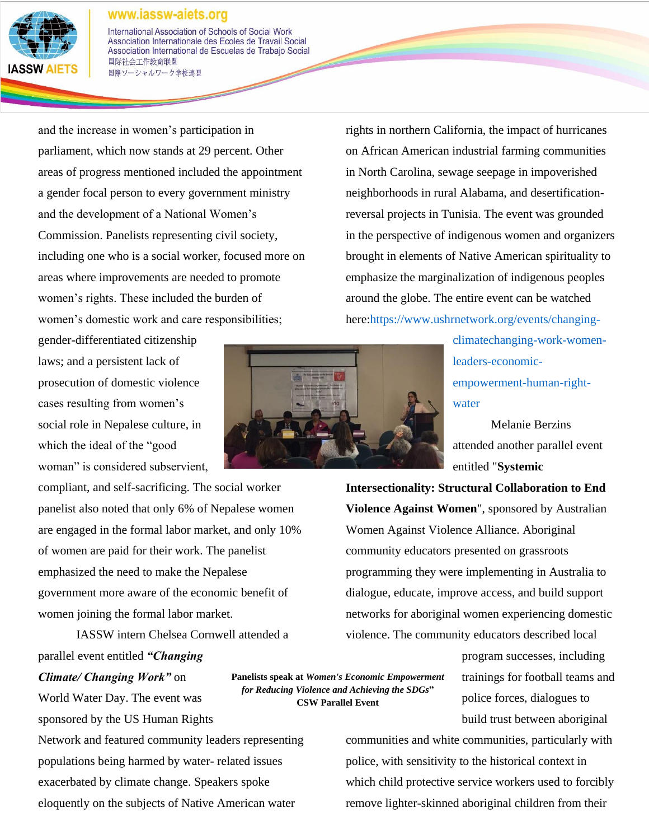

International Association of Schools of Social Work Association Internationale des Ecoles de Travail Social Association International de Escuelas de Trabajo Social 国际社会工作教育联盟 国際ソーシャルワーク学校連盟

and the increase in women's participation in parliament, which now stands at 29 percent. Other areas of progress mentioned included the appointment a gender focal person to every government ministry and the development of a National Women's Commission. Panelists representing civil society, including one who is a social worker, focused more on areas where improvements are needed to promote women's rights. These included the burden of women's domestic work and care responsibilities;

gender-differentiated citizenship laws; and a persistent lack of prosecution of domestic violence cases resulting from women's social role in Nepalese culture, in which the ideal of the "good woman" is considered subservient,

compliant, and self-sacrificing. The social worker panelist also noted that only 6% of Nepalese women are engaged in the formal labor market, and only 10% of women are paid for their work. The panelist emphasized the need to make the Nepalese government more aware of the economic benefit of women joining the formal labor market.

IASSW intern Chelsea Cornwell attended a parallel event entitled *"Changing Climate/ Changing Work"* on **Panelists speak at** *Women's Economic Empowerment for Reducing Violence and Achieving the SDGs***"** 

World Water Day. The event was sponsored by the US Human Rights Network and featured community leaders representing populations being harmed by water- related issues exacerbated by climate change. Speakers spoke eloquently on the subjects of Native American water

rights in northern California, the impact of hurricanes on African American industrial farming communities in North Carolina, sewage seepage in impoverished neighborhoods in rural Alabama, and desertificationreversal projects in Tunisia. The event was grounded in the perspective of indigenous women and organizers brought in elements of Native American spirituality to emphasize the marginalization of indigenous peoples around the globe. The entire event can be watched here[:https://www.ushrnetwork.org/events/changing-](https://www.ushrnetwork.org/events/changing-climatechanging-work-women-leaders-economic-empowerment-human-right-water)

> [climatechanging-work-women](https://www.ushrnetwork.org/events/changing-climatechanging-work-women-leaders-economic-empowerment-human-right-water)[leaders-economic](https://www.ushrnetwork.org/events/changing-climatechanging-work-women-leaders-economic-empowerment-human-right-water)[empowerment-human-right](https://www.ushrnetwork.org/events/changing-climatechanging-work-women-leaders-economic-empowerment-human-right-water)[water](https://www.ushrnetwork.org/events/changing-climatechanging-work-women-leaders-economic-empowerment-human-right-water)

Melanie Berzins attended another parallel event entitled "**Systemic** 

**Intersectionality: Structural Collaboration to End Violence Against Women**", sponsored by Australian Women Against Violence Alliance. Aboriginal community educators presented on grassroots programming they were implementing in Australia to dialogue, educate, improve access, and build support networks for aboriginal women experiencing domestic violence. The community educators described local

> program successes, including trainings for football teams and police forces, dialogues to build trust between aboriginal

communities and white communities, particularly with police, with sensitivity to the historical context in which child protective service workers used to forcibly remove lighter-skinned aboriginal children from their



**CSW Parallel Event**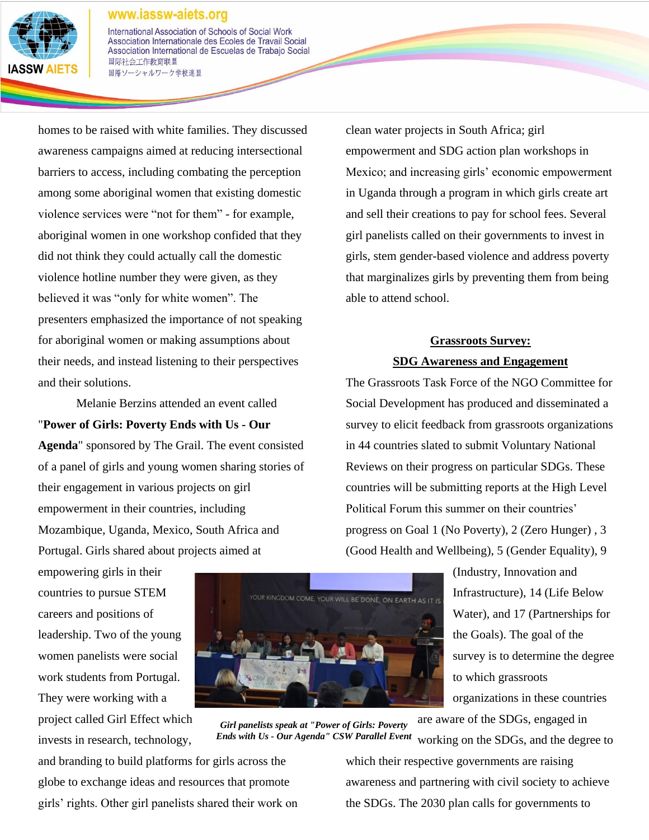

International Association of Schools of Social Work Association Internationale des Ecoles de Travail Social Association International de Escuelas de Trabajo Social 国际社会工作教育联盟 国際ソーシャルワーク学校連盟

homes to be raised with white families. They discussed awareness campaigns aimed at reducing intersectional barriers to access, including combating the perception among some aboriginal women that existing domestic violence services were "not for them" - for example, aboriginal women in one workshop confided that they did not think they could actually call the domestic violence hotline number they were given, as they believed it was "only for white women". The presenters emphasized the importance of not speaking for aboriginal women or making assumptions about their needs, and instead listening to their perspectives and their solutions.

Melanie Berzins attended an event called "**Power of Girls: Poverty Ends with Us - Our** 

**Agenda**" sponsored by The Grail. The event consisted of a panel of girls and young women sharing stories of their engagement in various projects on girl empowerment in their countries, including Mozambique, Uganda, Mexico, South Africa and Portugal. Girls shared about projects aimed at

empowering girls in their countries to pursue STEM careers and positions of leadership. Two of the young women panelists were social work students from Portugal. They were working with a project called Girl Effect which invests in research, technology,



working on the SDGs, and the degree to *Girl panelists speak at "Power of Girls: Poverty Ends with Us - Our Agenda" CSW Parallel Event*

and branding to build platforms for girls across the globe to exchange ideas and resources that promote girls' rights. Other girl panelists shared their work on clean water projects in South Africa; girl empowerment and SDG action plan workshops in Mexico; and increasing girls' economic empowerment in Uganda through a program in which girls create art and sell their creations to pay for school fees. Several girl panelists called on their governments to invest in girls, stem gender-based violence and address poverty that marginalizes girls by preventing them from being able to attend school.

# **Grassroots Survey:**

### **SDG Awareness and Engagement**

The Grassroots Task Force of the NGO Committee for Social Development has produced and disseminated a survey to elicit feedback from grassroots organizations in 44 countries slated to submit Voluntary National Reviews on their progress on particular SDGs. These countries will be submitting reports at the High Level Political Forum this summer on their countries' progress on Goal 1 (No Poverty), 2 (Zero Hunger) , 3 (Good Health and Wellbeing), 5 (Gender Equality), 9

> (Industry, Innovation and Infrastructure), 14 (Life Below Water), and 17 (Partnerships for the Goals). The goal of the survey is to determine the degree to which grassroots organizations in these countries

are aware of the SDGs, engaged in

which their respective governments are raising awareness and partnering with civil society to achieve the SDGs. The 2030 plan calls for governments to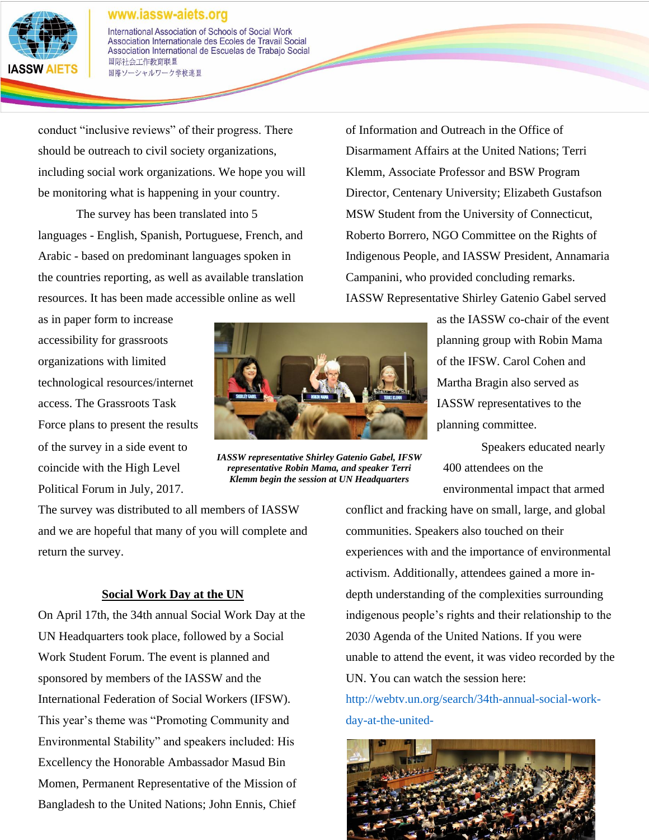

International Association of Schools of Social Work Association Internationale des Ecoles de Travail Social Association International de Escuelas de Trabajo Social 国际社会工作教育联盟 国際ソーシャルワーク学校連盟

conduct "inclusive reviews" of their progress. There should be outreach to civil society organizations, including social work organizations. We hope you will be monitoring what is happening in your country.

The survey has been translated into 5 languages - English, Spanish, Portuguese, French, and Arabic - based on predominant languages spoken in the countries reporting, as well as available translation resources. It has been made accessible online as well

as in paper form to increase accessibility for grassroots organizations with limited technological resources/internet access. The Grassroots Task Force plans to present the results of the survey in a side event to coincide with the High Level Political Forum in July, 2017.



*IASSW representative Shirley Gatenio Gabel, IFSW representative Robin Mama, and speaker Terri Klemm begin the session at UN Headquarters*

of Information and Outreach in the Office of Disarmament Affairs at the United Nations; Terri Klemm, Associate Professor and BSW Program Director, Centenary University; Elizabeth Gustafson MSW Student from the University of Connecticut, Roberto Borrero, NGO Committee on the Rights of Indigenous People, and IASSW President, Annamaria Campanini, who provided concluding remarks. IASSW Representative Shirley Gatenio Gabel served

> as the IASSW co-chair of the event planning group with Robin Mama of the IFSW. Carol Cohen and Martha Bragin also served as IASSW representatives to the planning committee.

Speakers educated nearly 400 attendees on the environmental impact that armed

The survey was distributed to all members of IASSW and we are hopeful that many of you will complete and return the survey.

### **Social Work Day at the UN**

On April 17th, the 34th annual Social Work Day at the UN Headquarters took place, followed by a Social Work Student Forum. The event is planned and sponsored by members of the IASSW and the International Federation of Social Workers (IFSW). This year's theme was "Promoting Community and Environmental Stability" and speakers included: His Excellency the Honorable Ambassador Masud Bin Momen, Permanent Representative of the Mission of Bangladesh to the United Nations; John Ennis, Chief

conflict and fracking have on small, large, and global communities. Speakers also touched on their experiences with and the importance of environmental activism. Additionally, attendees gained a more indepth understanding of the complexities surrounding indigenous people's rights and their relationship to the 2030 Agenda of the United Nations. If you were unable to attend the event, it was video recorded by the UN. You can watch the session here:

[http://webtv.un.org/search/34th-annual-social-work](http://webtv.un.org/search/34th-annual-social-work-day-at-the-united-nations/5400996547001?term=social%20work%20day)[day-at-the-united-](http://webtv.un.org/search/34th-annual-social-work-day-at-the-united-nations/5400996547001?term=social%20work%20day)

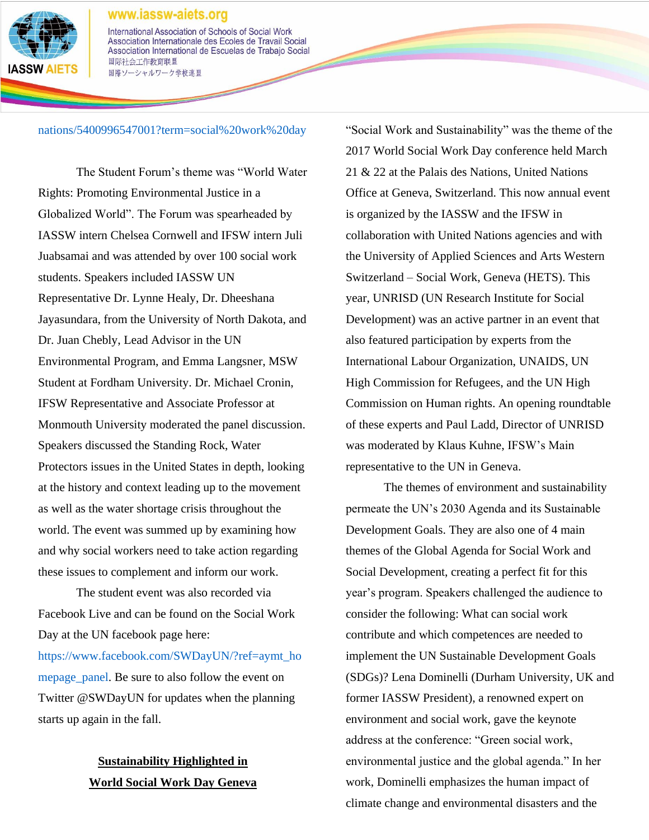

International Association of Schools of Social Work Association Internationale des Ecoles de Travail Social Association International de Escuelas de Trabajo Social 国际社会工作教育联盟 国際ソーシャルワーク学校連盟

### [nations/5400996547001?term=social%20work%20day](http://webtv.un.org/search/34th-annual-social-work-day-at-the-united-nations/5400996547001?term=social%20work%20day)

The Student Forum's theme was "World Water Rights: Promoting Environmental Justice in a Globalized World". The Forum was spearheaded by IASSW intern Chelsea Cornwell and IFSW intern Juli Juabsamai and was attended by over 100 social work students. Speakers included IASSW UN Representative Dr. Lynne Healy, Dr. Dheeshana Jayasundara, from the University of North Dakota, and Dr. Juan Chebly, Lead Advisor in the UN Environmental Program, and Emma Langsner, MSW Student at Fordham University. Dr. Michael Cronin, IFSW Representative and Associate Professor at Monmouth University moderated the panel discussion. Speakers discussed the Standing Rock, Water Protectors issues in the United States in depth, looking at the history and context leading up to the movement as well as the water shortage crisis throughout the world. The event was summed up by examining how and why social workers need to take action regarding these issues to complement and inform our work.

The student event was also recorded via Facebook Live and can be found on the Social Work Day at the UN facebook page here:

[https://www.facebook.com/SWDayUN/?ref=aymt\\_ho](https://www.facebook.com/SWDayUN/?ref=aymt_homepage_panel) [mepage\\_panel.](https://www.facebook.com/SWDayUN/?ref=aymt_homepage_panel) Be sure to also follow the event on Twitter @SWDayUN for updates when the planning starts up again in the fall.

## **Sustainability Highlighted in World Social Work Day Geneva**

"Social Work and Sustainability" was the theme of the 2017 World Social Work Day conference held March 21 & 22 at the Palais des Nations, United Nations Office at Geneva, Switzerland. This now annual event is organized by the IASSW and the IFSW in collaboration with United Nations agencies and with the University of Applied Sciences and Arts Western Switzerland – Social Work, Geneva (HETS). This year, UNRISD (UN Research Institute for Social Development) was an active partner in an event that also featured participation by experts from the International Labour Organization, UNAIDS, UN High Commission for Refugees, and the UN High Commission on Human rights. An opening roundtable of these experts and Paul Ladd, Director of UNRISD was moderated by Klaus Kuhne, IFSW's Main representative to the UN in Geneva.

The themes of environment and sustainability permeate the UN's 2030 Agenda and its Sustainable Development Goals. They are also one of 4 main themes of the Global Agenda for Social Work and Social Development, creating a perfect fit for this year's program. Speakers challenged the audience to consider the following: What can social work contribute and which competences are needed to implement the UN Sustainable Development Goals (SDGs)? Lena Dominelli (Durham University, UK and former IASSW President), a renowned expert on environment and social work, gave the keynote address at the conference: "Green social work, environmental justice and the global agenda." In her work, Dominelli emphasizes the human impact of climate change and environmental disasters and the